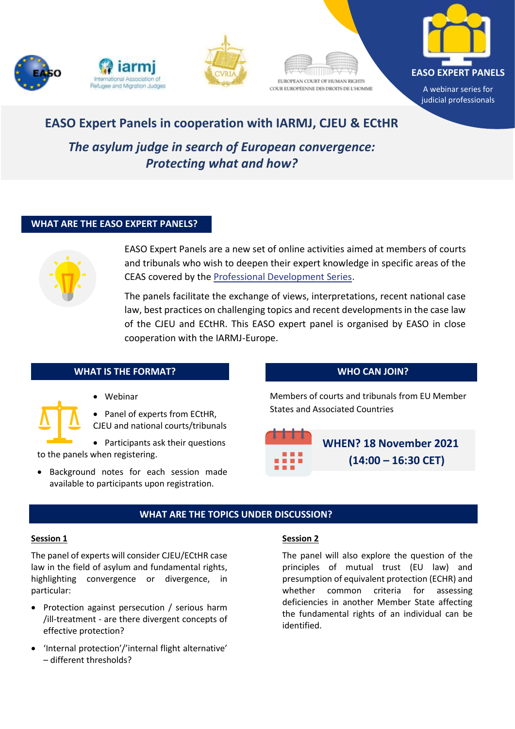









# **EASO Expert Panels in cooperation with IARMJ, CJEU & ECtHR**

*The asylum judge in search of European convergence: Protecting what and how?* 

# **WHAT ARE THE EASO EXPERT PANELS?**



EASO Expert Panels are a new set of online activities aimed at members of courts and tribunals who wish to deepen their expert knowledge in specific areas of the CEAS covered by the [Professional Development Series.](https://easo.europa.eu/courts-and-tribunals)

The panels facilitate the exchange of views, interpretations, recent national case law, best practices on challenging topics and recent developments in the case law of the CJEU and ECtHR. This EASO expert panel is organised by EASO in close cooperation with the IARMJ-Europe.

# **WHAT IS THE FORMAT?**

• Webinar

• Panel of experts from ECtHR,

CJEU and national courts/tribunals

• Participants ask their questions to the panels when registering.

• Background notes for each session made available to participants upon registration.

# **WHO CAN JOIN?**

Members of courts and tribunals from EU Member States and Associated Countries



**Events** 

# **WHAT ARE THE TOPICS UNDER DISCUSSION?**

### **Session 1**

The panel of experts will consider CJEU/ECtHR case law in the field of asylum and fundamental rights, highlighting convergence or divergence, in particular:

- Protection against persecution / serious harm /ill-treatment - are there divergent concepts of effective protection?
- 'Internal protection'/'internal flight alternative' – different thresholds?

# **Session 2**

The panel will also explore the question of the principles of mutual trust (EU law) and presumption of equivalent protection (ECHR) and whether common criteria for assessing deficiencies in another Member State affecting the fundamental rights of an individual can be identified.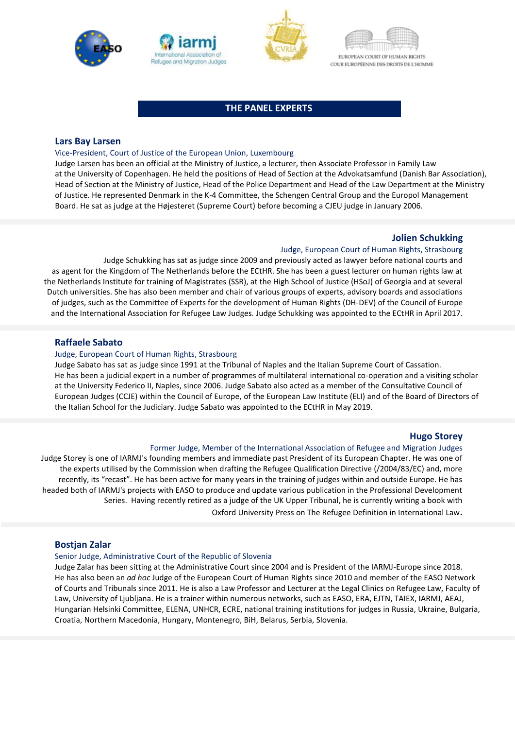







### **THE PANEL EXPERTS**

### **Lars Bay Larsen**

#### Vice-President, Court of Justice of the European Union, Luxembourg

Judge Larsen has been an official at the Ministry of Justice, a lecturer, then Associate Professor in Family Law at the University of Copenhagen. He held the positions of Head of Section at the Advokatsamfund (Danish Bar Association), Head of Section at the Ministry of Justice, Head of the Police Department and Head of the Law Department at the Ministry of Justice. He represented Denmark in the K-4 Committee, the Schengen Central Group and the Europol Management Board. He sat as judge at the Højesteret (Supreme Court) before becoming a CJEU judge in January 2006.

### **Jolien Schukking**

#### Judge, European Court of Human Rights, Strasbourg

Judge Schukking has sat as judge since 2009 and previously acted as lawyer before national courts and as agent for the Kingdom of The Netherlands before the ECtHR. She has been a guest lecturer on human rights law at the Netherlands Institute for training of Magistrates (SSR), at the High School of Justice (HSoJ) of Georgia and at several Dutch universities. She has also been member and chair of various groups of experts, advisory boards and associations of judges, such as the Committee of Experts for the development of Human Rights (DH-DEV) of the Council of Europe and the International Association for Refugee Law Judges. Judge Schukking was appointed to the ECtHR in April 2017.

### **Raffaele Sabato**

#### Judge, European Court of Human Rights, Strasbourg

Judge Sabato has sat as judge since 1991 at the Tribunal of Naples and the Italian Supreme Court of Cassation. He has been a judicial expert in a number of programmes of multilateral international co-operation and a visiting scholar at the University Federico II, Naples, since 2006. Judge Sabato also acted as a member of the Consultative Council of European Judges (CCJE) within the Council of Europe, of the European Law Institute (ELI) and of the Board of Directors of the Italian School for the Judiciary. Judge Sabato was appointed to the ECtHR in May 2019.

#### **Hugo Storey**

#### Former Judge, Member of the International Association of Refugee and Migration Judges

Judge Storey is one of IARMJ's founding members and immediate past President of its European Chapter. He was one of the experts utilised by the Commission when drafting the Refugee Qualification Directive (/2004/83/EC) and, more recently, its "recast". He has been active for many years in the training of judges within and outside Europe. He has headed both of IARMJ's projects with EASO to produce and update various publication in the Professional Development Series. Having recently retired as a judge of the UK Upper Tribunal, he is currently writing a book with

Oxford University Press on The Refugee Definition in International Law**.**

#### **Bostjan Zalar**

#### Senior Judge, Administrative Court of the Republic of Slovenia

Judge Zalar has been sitting at the Administrative Court since 2004 and is President of the IARMJ-Europe since 2018. He has also been an *ad hoc* Judge of the European Court of Human Rights since 2010 and member of the EASO Network of Courts and Tribunals since 2011. He is also a Law Professor and Lecturer at the Legal Clinics on Refugee Law, Faculty of Law, University of Ljubljana. He is a trainer within numerous networks, such as EASO, ERA, EJTN, TAIEX, IARMJ, AEAJ, Hungarian Helsinki Committee, ELENA, UNHCR, ECRE, national training institutions for judges in Russia, Ukraine, Bulgaria, Croatia, Northern Macedonia, Hungary, Montenegro, BiH, Belarus, Serbia, Slovenia.